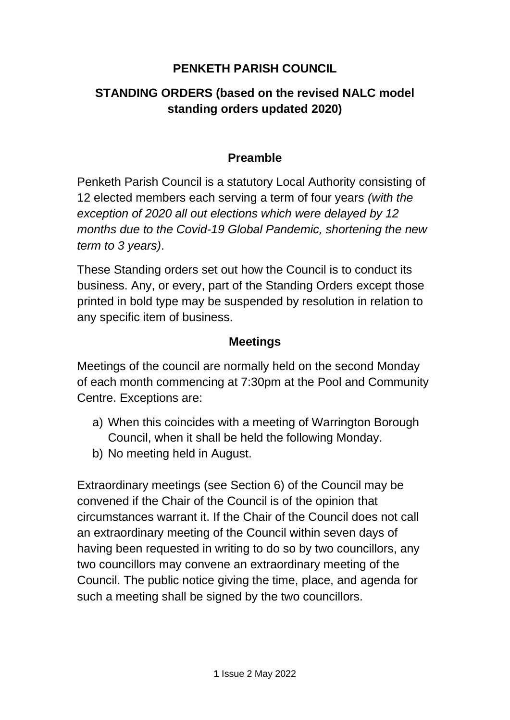# **PENKETH PARISH COUNCIL**

# **STANDING ORDERS (based on the revised NALC model standing orders updated 2020)**

# **Preamble**

Penketh Parish Council is a statutory Local Authority consisting of 12 elected members each serving a term of four years *(with the exception of 2020 all out elections which were delayed by 12 months due to the Covid-19 Global Pandemic, shortening the new term to 3 years)*.

These Standing orders set out how the Council is to conduct its business. Any, or every, part of the Standing Orders except those printed in bold type may be suspended by resolution in relation to any specific item of business.

# **Meetings**

Meetings of the council are normally held on the second Monday of each month commencing at 7:30pm at the Pool and Community Centre. Exceptions are:

- a) When this coincides with a meeting of Warrington Borough Council, when it shall be held the following Monday.
- b) No meeting held in August.

Extraordinary meetings (see Section 6) of the Council may be convened if the Chair of the Council is of the opinion that circumstances warrant it. If the Chair of the Council does not call an extraordinary meeting of the Council within seven days of having been requested in writing to do so by two councillors, any two councillors may convene an extraordinary meeting of the Council. The public notice giving the time, place, and agenda for such a meeting shall be signed by the two councillors.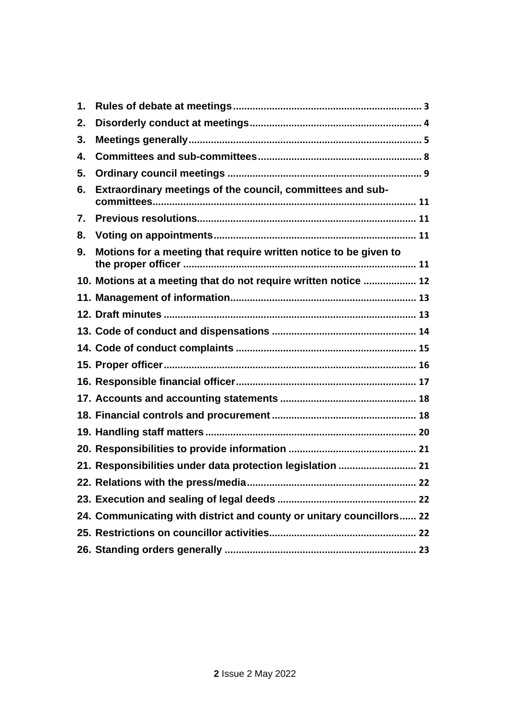| 1. |                                                                      |  |
|----|----------------------------------------------------------------------|--|
| 2. |                                                                      |  |
| 3. |                                                                      |  |
| 4. |                                                                      |  |
| 5. |                                                                      |  |
| 6. | Extraordinary meetings of the council, committees and sub-           |  |
| 7. |                                                                      |  |
| 8. |                                                                      |  |
| 9. | Motions for a meeting that require written notice to be given to     |  |
|    | 10. Motions at a meeting that do not require written notice  12      |  |
|    |                                                                      |  |
|    |                                                                      |  |
|    |                                                                      |  |
|    |                                                                      |  |
|    |                                                                      |  |
|    |                                                                      |  |
|    |                                                                      |  |
|    |                                                                      |  |
|    |                                                                      |  |
|    |                                                                      |  |
|    | 21. Responsibilities under data protection legislation  21           |  |
|    |                                                                      |  |
|    |                                                                      |  |
|    | 24. Communicating with district and county or unitary councillors 22 |  |
|    |                                                                      |  |
|    |                                                                      |  |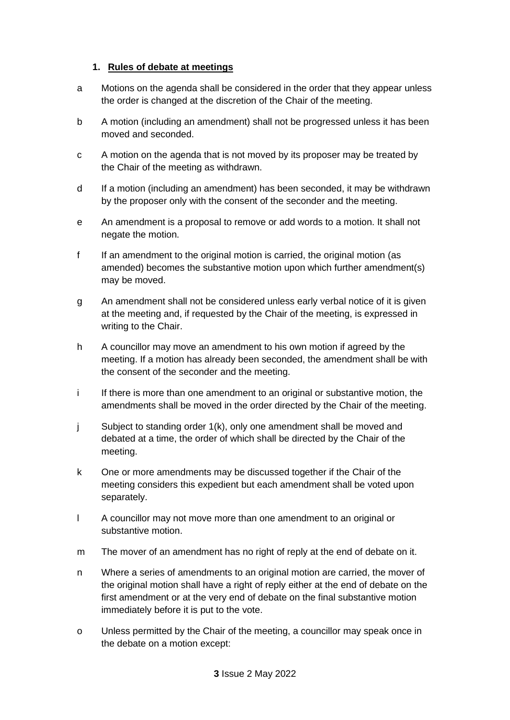#### <span id="page-2-0"></span>**1. Rules of debate at meetings**

- a Motions on the agenda shall be considered in the order that they appear unless the order is changed at the discretion of the Chair of the meeting.
- b A motion (including an amendment) shall not be progressed unless it has been moved and seconded.
- c A motion on the agenda that is not moved by its proposer may be treated by the Chair of the meeting as withdrawn.
- d If a motion (including an amendment) has been seconded, it may be withdrawn by the proposer only with the consent of the seconder and the meeting.
- e An amendment is a proposal to remove or add words to a motion. It shall not negate the motion.
- f If an amendment to the original motion is carried, the original motion (as amended) becomes the substantive motion upon which further amendment(s) may be moved.
- g An amendment shall not be considered unless early verbal notice of it is given at the meeting and, if requested by the Chair of the meeting, is expressed in writing to the Chair.
- h A councillor may move an amendment to his own motion if agreed by the meeting. If a motion has already been seconded, the amendment shall be with the consent of the seconder and the meeting.
- i If there is more than one amendment to an original or substantive motion, the amendments shall be moved in the order directed by the Chair of the meeting.
- j Subject to standing order 1(k), only one amendment shall be moved and debated at a time, the order of which shall be directed by the Chair of the meeting.
- k One or more amendments may be discussed together if the Chair of the meeting considers this expedient but each amendment shall be voted upon separately.
- l A councillor may not move more than one amendment to an original or substantive motion.
- m The mover of an amendment has no right of reply at the end of debate on it.
- n Where a series of amendments to an original motion are carried, the mover of the original motion shall have a right of reply either at the end of debate on the first amendment or at the very end of debate on the final substantive motion immediately before it is put to the vote.
- o Unless permitted by the Chair of the meeting, a councillor may speak once in the debate on a motion except: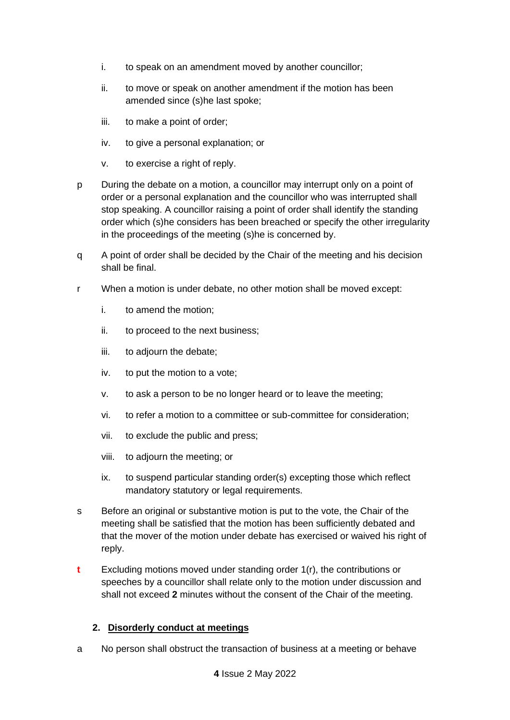- i. to speak on an amendment moved by another councillor;
- ii. to move or speak on another amendment if the motion has been amended since (s)he last spoke;
- iii. to make a point of order;
- iv. to give a personal explanation; or
- v. to exercise a right of reply.
- p During the debate on a motion, a councillor may interrupt only on a point of order or a personal explanation and the councillor who was interrupted shall stop speaking. A councillor raising a point of order shall identify the standing order which (s)he considers has been breached or specify the other irregularity in the proceedings of the meeting (s)he is concerned by.
- q A point of order shall be decided by the Chair of the meeting and his decision shall be final.
- r When a motion is under debate, no other motion shall be moved except:
	- i. to amend the motion;
	- ii. to proceed to the next business;
	- iii. to adjourn the debate;
	- iv. to put the motion to a vote;
	- v. to ask a person to be no longer heard or to leave the meeting;
	- vi. to refer a motion to a committee or sub-committee for consideration;
	- vii. to exclude the public and press;
	- viii. to adjourn the meeting; or
	- ix. to suspend particular standing order(s) excepting those which reflect mandatory statutory or legal requirements.
- s Before an original or substantive motion is put to the vote, the Chair of the meeting shall be satisfied that the motion has been sufficiently debated and that the mover of the motion under debate has exercised or waived his right of reply.
- **t** Excluding motions moved under standing order 1(r), the contributions or speeches by a councillor shall relate only to the motion under discussion and shall not exceed **2** minutes without the consent of the Chair of the meeting.

## <span id="page-3-0"></span>**2. Disorderly conduct at meetings**

a No person shall obstruct the transaction of business at a meeting or behave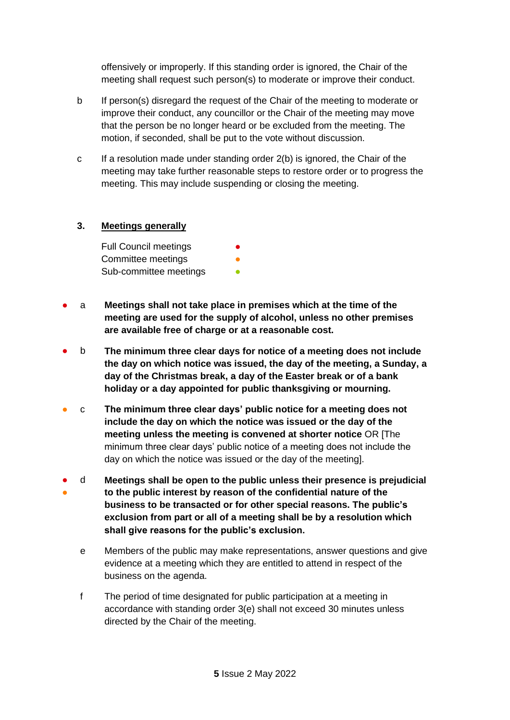offensively or improperly. If this standing order is ignored, the Chair of the meeting shall request such person(s) to moderate or improve their conduct.

- b If person(s) disregard the request of the Chair of the meeting to moderate or improve their conduct, any councillor or the Chair of the meeting may move that the person be no longer heard or be excluded from the meeting. The motion, if seconded, shall be put to the vote without discussion.
- c If a resolution made under standing order 2(b) is ignored, the Chair of the meeting may take further reasonable steps to restore order or to progress the meeting. This may include suspending or closing the meeting.

## <span id="page-4-0"></span>**3. Meetings generally**

**Full Council meetings** Committee meetings Sub-committee meetings

- a **Meetings shall not take place in premises which at the time of the meeting are used for the supply of alcohol, unless no other premises are available free of charge or at a reasonable cost.**
- b **The minimum three clear days for notice of a meeting does not include the day on which notice was issued, the day of the meeting, a Sunday, a day of the Christmas break, a day of the Easter break or of a bank holiday or a day appointed for public thanksgiving or mourning.**
- c **The minimum three clear days' public notice for a meeting does not include the day on which the notice was issued or the day of the meeting unless the meeting is convened at shorter notice** OR [The minimum three clear days' public notice of a meeting does not include the day on which the notice was issued or the day of the meeting].
- ● d **Meetings shall be open to the public unless their presence is prejudicial to the public interest by reason of the confidential nature of the business to be transacted or for other special reasons. The public's exclusion from part or all of a meeting shall be by a resolution which shall give reasons for the public's exclusion.**
	- e Members of the public may make representations, answer questions and give evidence at a meeting which they are entitled to attend in respect of the business on the agenda.
	- f The period of time designated for public participation at a meeting in accordance with standing order 3(e) shall not exceed 30 minutes unless directed by the Chair of the meeting.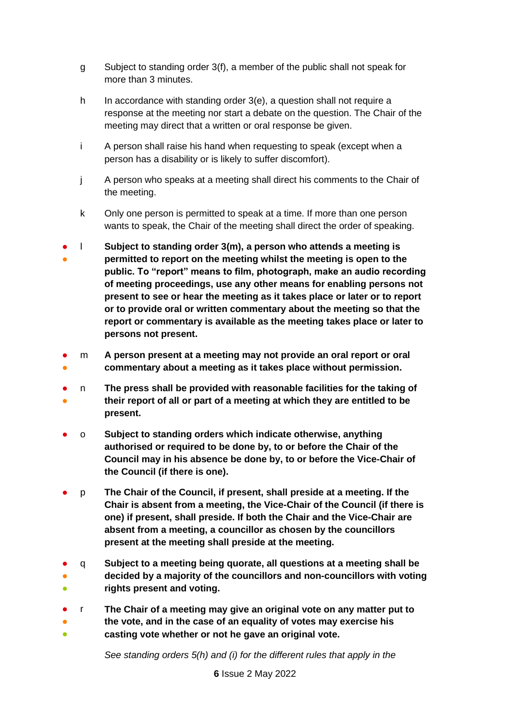- g Subject to standing order 3(f), a member of the public shall not speak for more than 3 minutes.
- h In accordance with standing order 3(e), a question shall not require a response at the meeting nor start a debate on the question. The Chair of the meeting may direct that a written or oral response be given.
- i A person shall raise his hand when requesting to speak (except when a person has a disability or is likely to suffer discomfort).
- j A person who speaks at a meeting shall direct his comments to the Chair of the meeting.
- k Only one person is permitted to speak at a time. If more than one person wants to speak, the Chair of the meeting shall direct the order of speaking.
- ● l **Subject to standing order 3(m), a person who attends a meeting is permitted to report on the meeting whilst the meeting is open to the public. To "report" means to film, photograph, make an audio recording of meeting proceedings, use any other means for enabling persons not present to see or hear the meeting as it takes place or later or to report or to provide oral or written commentary about the meeting so that the report or commentary is available as the meeting takes place or later to persons not present.**
- ● m **A person present at a meeting may not provide an oral report or oral commentary about a meeting as it takes place without permission.**
- ● n **The press shall be provided with reasonable facilities for the taking of their report of all or part of a meeting at which they are entitled to be**
- **present.**
- o **Subject to standing orders which indicate otherwise, anything authorised or required to be done by, to or before the Chair of the Council may in his absence be done by, to or before the Vice-Chair of the Council (if there is one).**
- p **The Chair of the Council, if present, shall preside at a meeting. If the Chair is absent from a meeting, the Vice-Chair of the Council (if there is one) if present, shall preside. If both the Chair and the Vice-Chair are absent from a meeting, a councillor as chosen by the councillors present at the meeting shall preside at the meeting.**
- ● ● q **Subject to a meeting being quorate, all questions at a meeting shall be decided by a majority of the councillors and non-councillors with voting rights present and voting.**
- r **The Chair of a meeting may give an original vote on any matter put to**
- ● **the vote, and in the case of an equality of votes may exercise his casting vote whether or not he gave an original vote.**

*See standing orders 5(h) and (i) for the different rules that apply in the*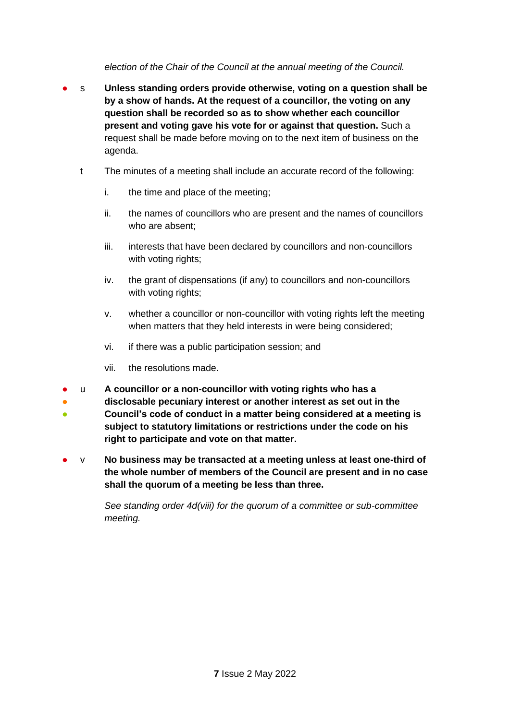*election of the Chair of the Council at the annual meeting of the Council.*

- s **Unless standing orders provide otherwise, voting on a question shall be by a show of hands. At the request of a councillor, the voting on any question shall be recorded so as to show whether each councillor present and voting gave his vote for or against that question.** Such a request shall be made before moving on to the next item of business on the agenda.
	- t The minutes of a meeting shall include an accurate record of the following:
		- i. the time and place of the meeting;
		- ii. the names of councillors who are present and the names of councillors who are absent;
		- iii. interests that have been declared by councillors and non-councillors with voting rights;
		- iv. the grant of dispensations (if any) to councillors and non-councillors with voting rights;
		- v. whether a councillor or non-councillor with voting rights left the meeting when matters that they held interests in were being considered;
		- vi. if there was a public participation session; and
		- vii. the resolutions made.
- u **A councillor or a non-councillor with voting rights who has a**
- **disclosable pecuniary interest or another interest as set out in the**
- **Council's code of conduct in a matter being considered at a meeting is subject to statutory limitations or restrictions under the code on his right to participate and vote on that matter.**
- v **No business may be transacted at a meeting unless at least one-third of the whole number of members of the Council are present and in no case shall the quorum of a meeting be less than three.**

*See standing order 4d(viii) for the quorum of a committee or sub-committee meeting.*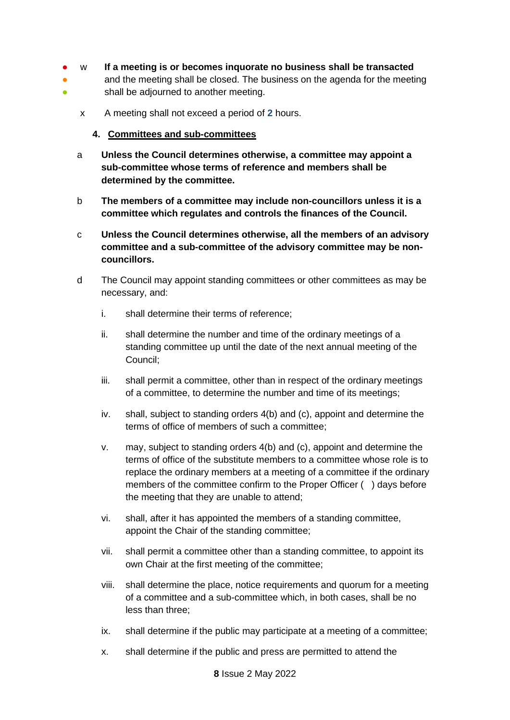- w **If a meeting is or becomes inquorate no business shall be transacted**
- <span id="page-7-0"></span>● ● and the meeting shall be closed. The business on the agenda for the meeting shall be adjourned to another meeting.
	- x A meeting shall not exceed a period of **2** hours.
		- **4. Committees and sub-committees**
	- a **Unless the Council determines otherwise, a committee may appoint a sub-committee whose terms of reference and members shall be determined by the committee.**
	- b **The members of a committee may include non-councillors unless it is a committee which regulates and controls the finances of the Council.**
	- c **Unless the Council determines otherwise, all the members of an advisory committee and a sub-committee of the advisory committee may be noncouncillors.**
	- d The Council may appoint standing committees or other committees as may be necessary, and:
		- i. shall determine their terms of reference;
		- ii. shall determine the number and time of the ordinary meetings of a standing committee up until the date of the next annual meeting of the Council;
		- iii. shall permit a committee, other than in respect of the ordinary meetings of a committee, to determine the number and time of its meetings;
		- iv. shall, subject to standing orders 4(b) and (c), appoint and determine the terms of office of members of such a committee;
		- v. may, subject to standing orders 4(b) and (c), appoint and determine the terms of office of the substitute members to a committee whose role is to replace the ordinary members at a meeting of a committee if the ordinary members of the committee confirm to the Proper Officer ( ) days before the meeting that they are unable to attend;
		- vi. shall, after it has appointed the members of a standing committee, appoint the Chair of the standing committee;
		- vii. shall permit a committee other than a standing committee, to appoint its own Chair at the first meeting of the committee;
		- viii. shall determine the place, notice requirements and quorum for a meeting of a committee and a sub-committee which, in both cases, shall be no less than three;
		- ix. shall determine if the public may participate at a meeting of a committee;
		- x. shall determine if the public and press are permitted to attend the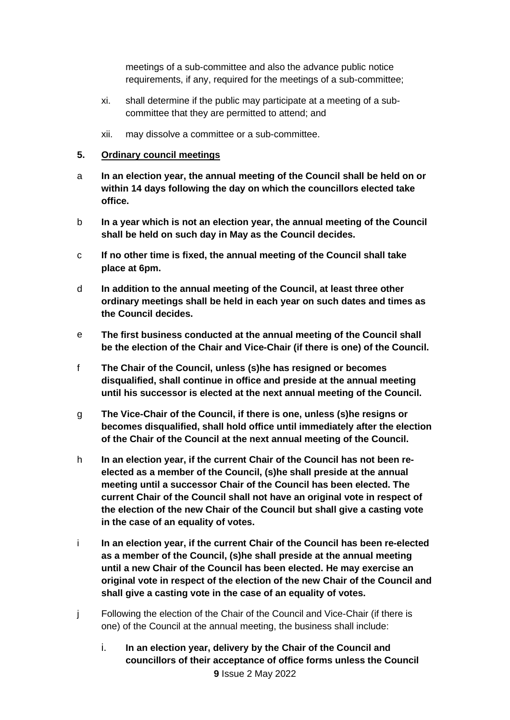meetings of a sub-committee and also the advance public notice requirements, if any, required for the meetings of a sub-committee;

- xi. shall determine if the public may participate at a meeting of a subcommittee that they are permitted to attend; and
- xii. may dissolve a committee or a sub-committee.

#### <span id="page-8-0"></span>**5. Ordinary council meetings**

- a **In an election year, the annual meeting of the Council shall be held on or within 14 days following the day on which the councillors elected take office.**
- b **In a year which is not an election year, the annual meeting of the Council shall be held on such day in May as the Council decides.**
- c **If no other time is fixed, the annual meeting of the Council shall take place at 6pm.**
- d **In addition to the annual meeting of the Council, at least three other ordinary meetings shall be held in each year on such dates and times as the Council decides.**
- e **The first business conducted at the annual meeting of the Council shall be the election of the Chair and Vice-Chair (if there is one) of the Council.**
- f **The Chair of the Council, unless (s)he has resigned or becomes disqualified, shall continue in office and preside at the annual meeting until his successor is elected at the next annual meeting of the Council.**
- g **The Vice-Chair of the Council, if there is one, unless (s)he resigns or becomes disqualified, shall hold office until immediately after the election of the Chair of the Council at the next annual meeting of the Council.**
- h **In an election year, if the current Chair of the Council has not been reelected as a member of the Council, (s)he shall preside at the annual meeting until a successor Chair of the Council has been elected. The current Chair of the Council shall not have an original vote in respect of the election of the new Chair of the Council but shall give a casting vote in the case of an equality of votes.**
- i **In an election year, if the current Chair of the Council has been re-elected as a member of the Council, (s)he shall preside at the annual meeting until a new Chair of the Council has been elected. He may exercise an original vote in respect of the election of the new Chair of the Council and shall give a casting vote in the case of an equality of votes.**
- j Following the election of the Chair of the Council and Vice-Chair (if there is one) of the Council at the annual meeting, the business shall include:
	- **9** Issue 2 May 2022 i. **In an election year, delivery by the Chair of the Council and councillors of their acceptance of office forms unless the Council**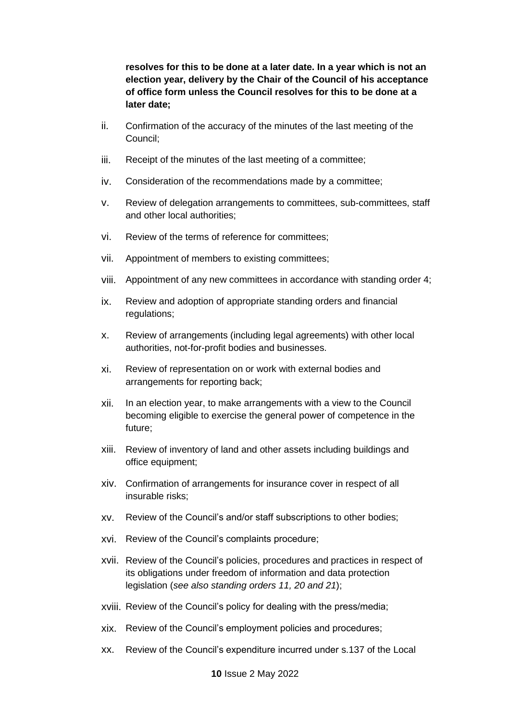**resolves for this to be done at a later date. In a year which is not an election year, delivery by the Chair of the Council of his acceptance of office form unless the Council resolves for this to be done at a later date;**

- ii. Confirmation of the accuracy of the minutes of the last meeting of the Council;
- iii. Receipt of the minutes of the last meeting of a committee;
- iv. Consideration of the recommendations made by a committee;
- v. Review of delegation arrangements to committees, sub-committees, staff and other local authorities;
- vi. Review of the terms of reference for committees;
- vii. Appointment of members to existing committees;
- viii. Appointment of any new committees in accordance with standing order 4;
- ix. Review and adoption of appropriate standing orders and financial regulations;
- x. Review of arrangements (including legal agreements) with other local authorities, not-for-profit bodies and businesses.
- xi. Review of representation on or work with external bodies and arrangements for reporting back;
- xii. In an election year, to make arrangements with a view to the Council becoming eligible to exercise the general power of competence in the future;
- xiii. Review of inventory of land and other assets including buildings and office equipment;
- xiv. Confirmation of arrangements for insurance cover in respect of all insurable risks;
- xv. Review of the Council's and/or staff subscriptions to other bodies;
- xvi. Review of the Council's complaints procedure;
- xvii. Review of the Council's policies, procedures and practices in respect of its obligations under freedom of information and data protection legislation (*see also standing orders 11, 20 and 21*);
- xviii. Review of the Council's policy for dealing with the press/media;
- xix. Review of the Council's employment policies and procedures;
- xx. Review of the Council's expenditure incurred under s.137 of the Local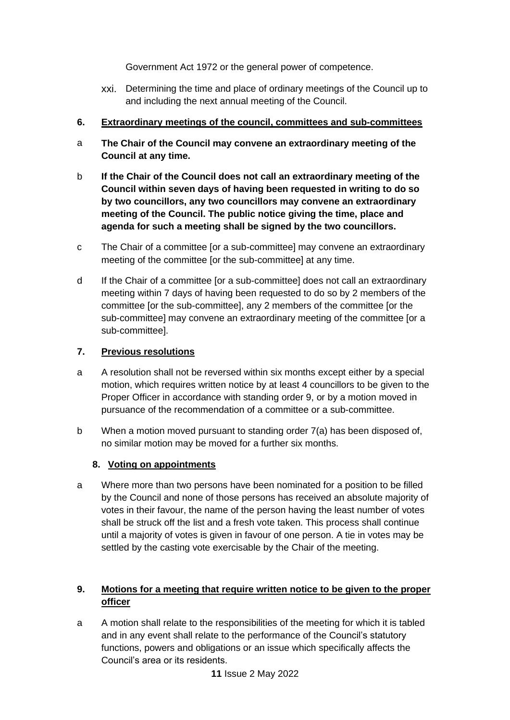Government Act 1972 or the general power of competence.

xxi. Determining the time and place of ordinary meetings of the Council up to and including the next annual meeting of the Council.

## <span id="page-10-0"></span>**6. Extraordinary meetings of the council, committees and sub-committees**

- a **The Chair of the Council may convene an extraordinary meeting of the Council at any time.**
- b **If the Chair of the Council does not call an extraordinary meeting of the Council within seven days of having been requested in writing to do so by two councillors, any two councillors may convene an extraordinary meeting of the Council. The public notice giving the time, place and agenda for such a meeting shall be signed by the two councillors.**
- c The Chair of a committee [or a sub-committee] may convene an extraordinary meeting of the committee [or the sub-committee] at any time.
- d If the Chair of a committee [or a sub-committee] does not call an extraordinary meeting within 7 days of having been requested to do so by 2 members of the committee [or the sub-committee], any 2 members of the committee [or the sub-committee] may convene an extraordinary meeting of the committee [or a sub-committee].

## <span id="page-10-1"></span>**7. Previous resolutions**

- a A resolution shall not be reversed within six months except either by a special motion, which requires written notice by at least 4 councillors to be given to the Proper Officer in accordance with standing order 9, or by a motion moved in pursuance of the recommendation of a committee or a sub-committee.
- b When a motion moved pursuant to standing order 7(a) has been disposed of, no similar motion may be moved for a further six months.

# <span id="page-10-2"></span>**8. Voting on appointments**

a Where more than two persons have been nominated for a position to be filled by the Council and none of those persons has received an absolute majority of votes in their favour, the name of the person having the least number of votes shall be struck off the list and a fresh vote taken. This process shall continue until a majority of votes is given in favour of one person. A tie in votes may be settled by the casting vote exercisable by the Chair of the meeting.

# <span id="page-10-3"></span>**9. Motions for a meeting that require written notice to be given to the proper officer**

a A motion shall relate to the responsibilities of the meeting for which it is tabled and in any event shall relate to the performance of the Council's statutory functions, powers and obligations or an issue which specifically affects the Council's area or its residents.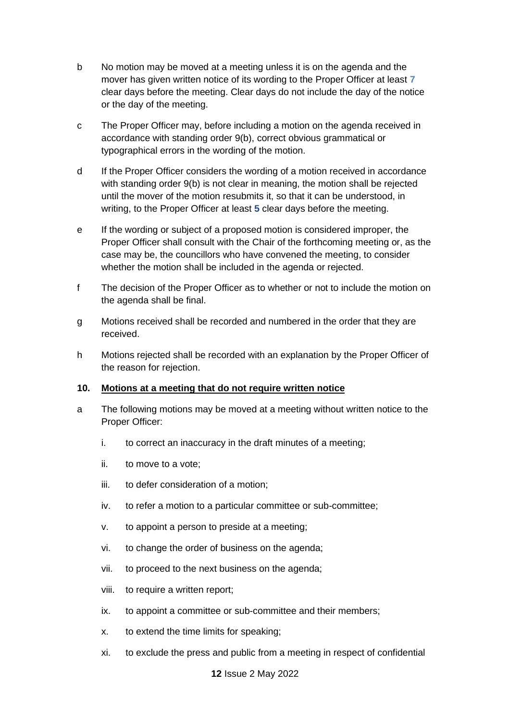- b No motion may be moved at a meeting unless it is on the agenda and the mover has given written notice of its wording to the Proper Officer at least **7** clear days before the meeting. Clear days do not include the day of the notice or the day of the meeting.
- c The Proper Officer may, before including a motion on the agenda received in accordance with standing order 9(b), correct obvious grammatical or typographical errors in the wording of the motion.
- d If the Proper Officer considers the wording of a motion received in accordance with standing order 9(b) is not clear in meaning, the motion shall be rejected until the mover of the motion resubmits it, so that it can be understood, in writing, to the Proper Officer at least **5** clear days before the meeting.
- e If the wording or subject of a proposed motion is considered improper, the Proper Officer shall consult with the Chair of the forthcoming meeting or, as the case may be, the councillors who have convened the meeting, to consider whether the motion shall be included in the agenda or rejected.
- f The decision of the Proper Officer as to whether or not to include the motion on the agenda shall be final.
- g Motions received shall be recorded and numbered in the order that they are received.
- h Motions rejected shall be recorded with an explanation by the Proper Officer of the reason for rejection.

## <span id="page-11-0"></span>**10. Motions at a meeting that do not require written notice**

- a The following motions may be moved at a meeting without written notice to the Proper Officer:
	- i. to correct an inaccuracy in the draft minutes of a meeting;
	- ii. to move to a vote;
	- iii. to defer consideration of a motion;
	- iv. to refer a motion to a particular committee or sub-committee;
	- v. to appoint a person to preside at a meeting;
	- vi. to change the order of business on the agenda;
	- vii. to proceed to the next business on the agenda;
	- viii. to require a written report;
	- ix. to appoint a committee or sub-committee and their members;
	- x. to extend the time limits for speaking;
	- xi. to exclude the press and public from a meeting in respect of confidential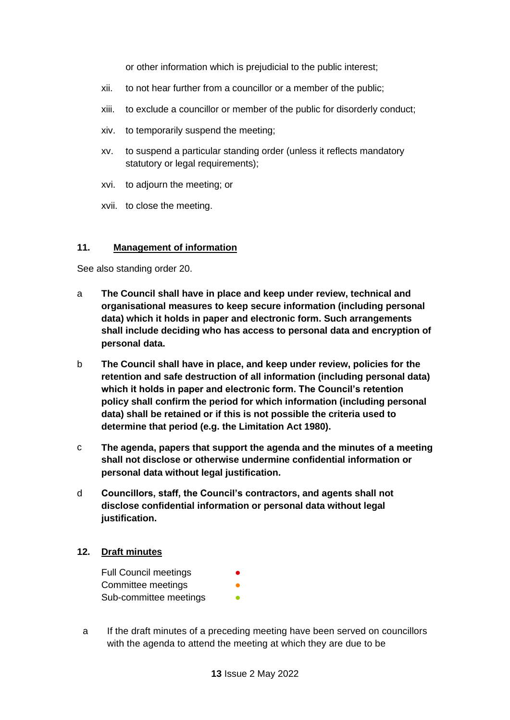or other information which is prejudicial to the public interest;

- xii. to not hear further from a councillor or a member of the public;
- xiii. to exclude a councillor or member of the public for disorderly conduct;
- xiv. to temporarily suspend the meeting;
- xv. to suspend a particular standing order (unless it reflects mandatory statutory or legal requirements);
- xvi. to adjourn the meeting; or
- xvii. to close the meeting.

#### <span id="page-12-0"></span>**11. Management of information**

See also standing order 20.

- a **The Council shall have in place and keep under review, technical and organisational measures to keep secure information (including personal data) which it holds in paper and electronic form. Such arrangements shall include deciding who has access to personal data and encryption of personal data.**
- b **The Council shall have in place, and keep under review, policies for the retention and safe destruction of all information (including personal data) which it holds in paper and electronic form. The Council's retention policy shall confirm the period for which information (including personal data) shall be retained or if this is not possible the criteria used to determine that period (e.g. the Limitation Act 1980).**
- c **The agenda, papers that support the agenda and the minutes of a meeting shall not disclose or otherwise undermine confidential information or personal data without legal justification.**
- d **Councillors, staff, the Council's contractors, and agents shall not disclose confidential information or personal data without legal justification.**

#### <span id="page-12-1"></span>**12. Draft minutes**

**Full Council meetings** Committee meetings Sub-committee meetings

a If the draft minutes of a preceding meeting have been served on councillors with the agenda to attend the meeting at which they are due to be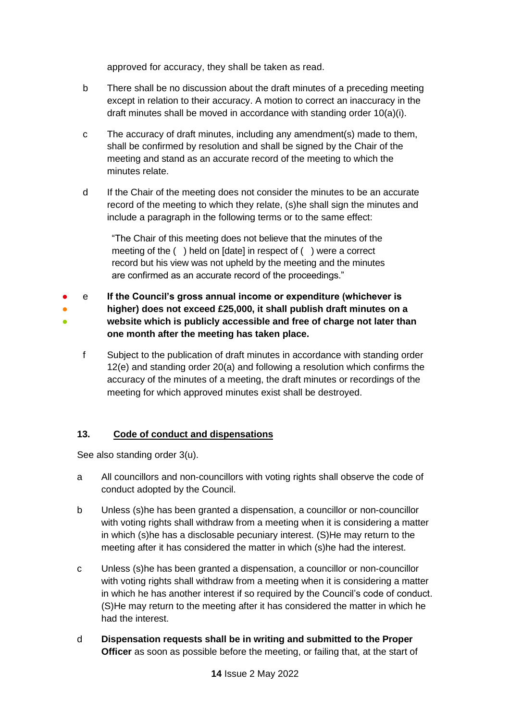approved for accuracy, they shall be taken as read.

- b There shall be no discussion about the draft minutes of a preceding meeting except in relation to their accuracy. A motion to correct an inaccuracy in the draft minutes shall be moved in accordance with standing order 10(a)(i).
- c The accuracy of draft minutes, including any amendment(s) made to them, shall be confirmed by resolution and shall be signed by the Chair of the meeting and stand as an accurate record of the meeting to which the minutes relate.
- d If the Chair of the meeting does not consider the minutes to be an accurate record of the meeting to which they relate, (s)he shall sign the minutes and include a paragraph in the following terms or to the same effect:

"The Chair of this meeting does not believe that the minutes of the meeting of the ( ) held on [date] in respect of ( ) were a correct record but his view was not upheld by the meeting and the minutes are confirmed as an accurate record of the proceedings."

- ● ● e **If the Council's gross annual income or expenditure (whichever is higher) does not exceed £25,000, it shall publish draft minutes on a website which is publicly accessible and free of charge not later than one month after the meeting has taken place.**
	- f Subject to the publication of draft minutes in accordance with standing order 12(e) and standing order 20(a) and following a resolution which confirms the accuracy of the minutes of a meeting, the draft minutes or recordings of the meeting for which approved minutes exist shall be destroyed.

## <span id="page-13-0"></span>**13. Code of conduct and dispensations**

See also standing order 3(u).

- a All councillors and non-councillors with voting rights shall observe the code of conduct adopted by the Council.
- b Unless (s)he has been granted a dispensation, a councillor or non-councillor with voting rights shall withdraw from a meeting when it is considering a matter in which (s)he has a disclosable pecuniary interest. (S)He may return to the meeting after it has considered the matter in which (s)he had the interest.
- c Unless (s)he has been granted a dispensation, a councillor or non-councillor with voting rights shall withdraw from a meeting when it is considering a matter in which he has another interest if so required by the Council's code of conduct. (S)He may return to the meeting after it has considered the matter in which he had the interest.
- d **Dispensation requests shall be in writing and submitted to the Proper Officer** as soon as possible before the meeting, or failing that, at the start of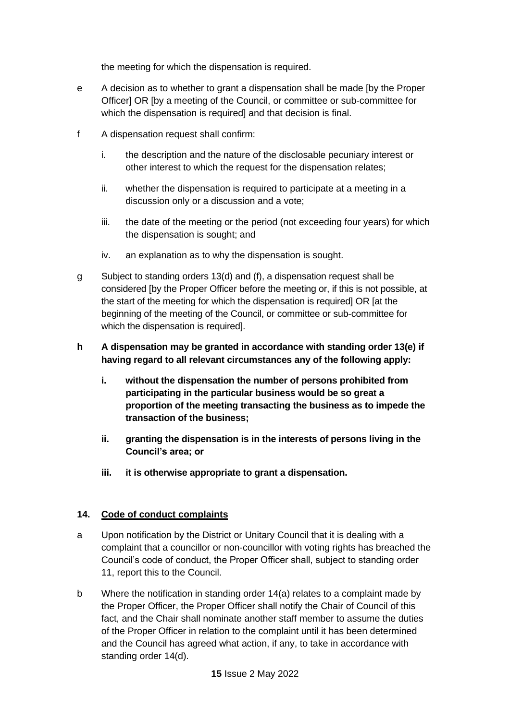the meeting for which the dispensation is required.

- e A decision as to whether to grant a dispensation shall be made [by the Proper Officer] OR [by a meeting of the Council, or committee or sub-committee for which the dispensation is required] and that decision is final.
- f A dispensation request shall confirm:
	- i. the description and the nature of the disclosable pecuniary interest or other interest to which the request for the dispensation relates;
	- ii. whether the dispensation is required to participate at a meeting in a discussion only or a discussion and a vote;
	- iii. the date of the meeting or the period (not exceeding four years) for which the dispensation is sought; and
	- iv. an explanation as to why the dispensation is sought.
- g Subject to standing orders 13(d) and (f), a dispensation request shall be considered [by the Proper Officer before the meeting or, if this is not possible, at the start of the meeting for which the dispensation is required] OR [at the beginning of the meeting of the Council, or committee or sub-committee for which the dispensation is required].
- **h A dispensation may be granted in accordance with standing order 13(e) if having regard to all relevant circumstances any of the following apply:**
	- **i. without the dispensation the number of persons prohibited from participating in the particular business would be so great a proportion of the meeting transacting the business as to impede the transaction of the business;**
	- **ii. granting the dispensation is in the interests of persons living in the Council's area; or**
	- **iii. it is otherwise appropriate to grant a dispensation.**

## <span id="page-14-0"></span>**14. Code of conduct complaints**

- a Upon notification by the District or Unitary Council that it is dealing with a complaint that a councillor or non-councillor with voting rights has breached the Council's code of conduct, the Proper Officer shall, subject to standing order 11, report this to the Council.
- b Where the notification in standing order 14(a) relates to a complaint made by the Proper Officer, the Proper Officer shall notify the Chair of Council of this fact, and the Chair shall nominate another staff member to assume the duties of the Proper Officer in relation to the complaint until it has been determined and the Council has agreed what action, if any, to take in accordance with standing order 14(d).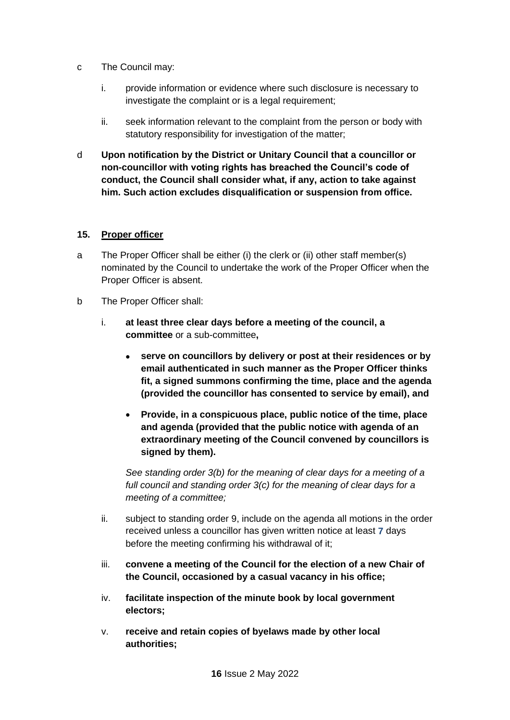- c The Council may:
	- i. provide information or evidence where such disclosure is necessary to investigate the complaint or is a legal requirement;
	- ii. seek information relevant to the complaint from the person or body with statutory responsibility for investigation of the matter;
- d **Upon notification by the District or Unitary Council that a councillor or non-councillor with voting rights has breached the Council's code of conduct, the Council shall consider what, if any, action to take against him. Such action excludes disqualification or suspension from office.**

#### <span id="page-15-0"></span>**15. Proper officer**

- a The Proper Officer shall be either (i) the clerk or (ii) other staff member(s) nominated by the Council to undertake the work of the Proper Officer when the Proper Officer is absent.
- b The Proper Officer shall:
	- i. **at least three clear days before a meeting of the council, a committee** or a sub-committee**,**
		- **serve on councillors by delivery or post at their residences or by email authenticated in such manner as the Proper Officer thinks fit, a signed summons confirming the time, place and the agenda (provided the councillor has consented to service by email), and**
		- **Provide, in a conspicuous place, public notice of the time, place and agenda (provided that the public notice with agenda of an extraordinary meeting of the Council convened by councillors is signed by them).**

*See standing order 3(b) for the meaning of clear days for a meeting of a full council and standing order 3(c) for the meaning of clear days for a meeting of a committee;*

- ii. subject to standing order 9, include on the agenda all motions in the order received unless a councillor has given written notice at least **7** days before the meeting confirming his withdrawal of it;
- iii. **convene a meeting of the Council for the election of a new Chair of the Council, occasioned by a casual vacancy in his office;**
- iv. **facilitate inspection of the minute book by local government electors;**
- v. **receive and retain copies of byelaws made by other local authorities;**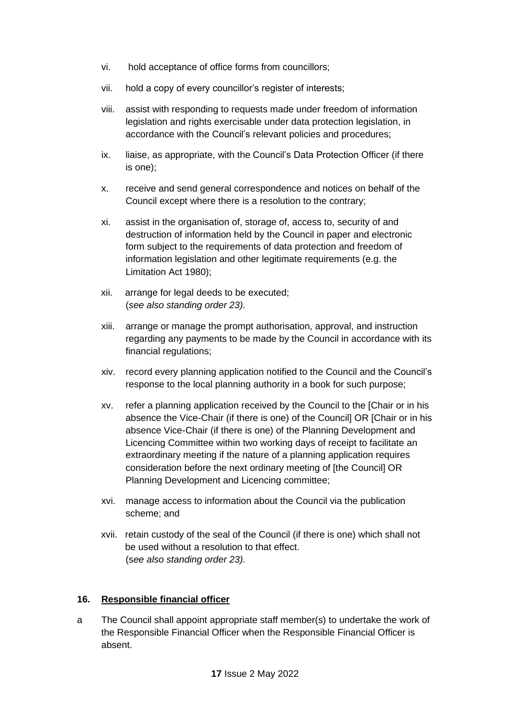- vi. hold acceptance of office forms from councillors;
- vii. hold a copy of every councillor's register of interests;
- viii. assist with responding to requests made under freedom of information legislation and rights exercisable under data protection legislation, in accordance with the Council's relevant policies and procedures;
- ix. liaise, as appropriate, with the Council's Data Protection Officer (if there is one);
- x. receive and send general correspondence and notices on behalf of the Council except where there is a resolution to the contrary;
- xi. assist in the organisation of, storage of, access to, security of and destruction of information held by the Council in paper and electronic form subject to the requirements of data protection and freedom of information legislation and other legitimate requirements (e.g. the Limitation Act 1980);
- xii. arrange for legal deeds to be executed; (*see also standing order 23).*
- xiii. arrange or manage the prompt authorisation, approval, and instruction regarding any payments to be made by the Council in accordance with its financial regulations;
- xiv. record every planning application notified to the Council and the Council's response to the local planning authority in a book for such purpose;
- xv. refer a planning application received by the Council to the [Chair or in his absence the Vice-Chair (if there is one) of the Council] OR [Chair or in his absence Vice-Chair (if there is one) of the Planning Development and Licencing Committee within two working days of receipt to facilitate an extraordinary meeting if the nature of a planning application requires consideration before the next ordinary meeting of [the Council] OR Planning Development and Licencing committee;
- xvi. manage access to information about the Council via the publication scheme; and
- xvii. retain custody of the seal of the Council (if there is one) which shall not be used without a resolution to that effect. (s*ee also standing order 23).*

## <span id="page-16-0"></span>**16. Responsible financial officer**

a The Council shall appoint appropriate staff member(s) to undertake the work of the Responsible Financial Officer when the Responsible Financial Officer is absent.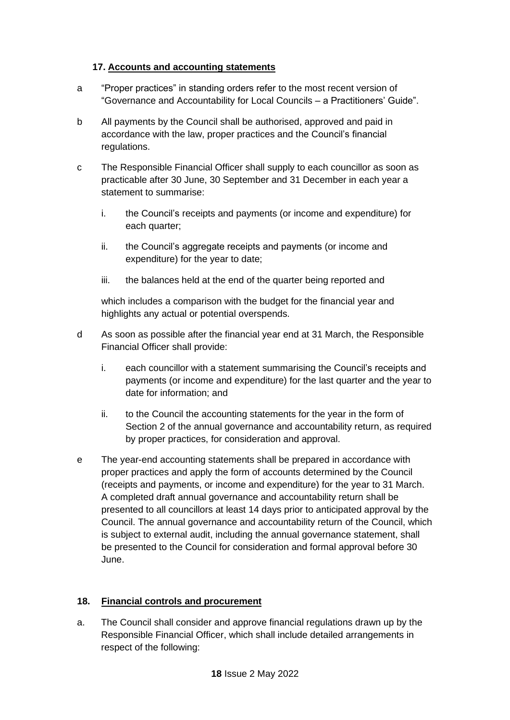#### <span id="page-17-0"></span>**17. Accounts and accounting statements**

- a "Proper practices" in standing orders refer to the most recent version of "Governance and Accountability for Local Councils – a Practitioners' Guide".
- b All payments by the Council shall be authorised, approved and paid in accordance with the law, proper practices and the Council's financial regulations.
- c The Responsible Financial Officer shall supply to each councillor as soon as practicable after 30 June, 30 September and 31 December in each year a statement to summarise:
	- i. the Council's receipts and payments (or income and expenditure) for each quarter:
	- ii. the Council's aggregate receipts and payments (or income and expenditure) for the year to date;
	- iii. the balances held at the end of the quarter being reported and

which includes a comparison with the budget for the financial year and highlights any actual or potential overspends.

- d As soon as possible after the financial year end at 31 March, the Responsible Financial Officer shall provide:
	- i. each councillor with a statement summarising the Council's receipts and payments (or income and expenditure) for the last quarter and the year to date for information; and
	- ii. to the Council the accounting statements for the year in the form of Section 2 of the annual governance and accountability return, as required by proper practices, for consideration and approval.
- e The year-end accounting statements shall be prepared in accordance with proper practices and apply the form of accounts determined by the Council (receipts and payments, or income and expenditure) for the year to 31 March. A completed draft annual governance and accountability return shall be presented to all councillors at least 14 days prior to anticipated approval by the Council. The annual governance and accountability return of the Council, which is subject to external audit, including the annual governance statement, shall be presented to the Council for consideration and formal approval before 30 June.

## <span id="page-17-1"></span>**18. Financial controls and procurement**

a. The Council shall consider and approve financial regulations drawn up by the Responsible Financial Officer, which shall include detailed arrangements in respect of the following: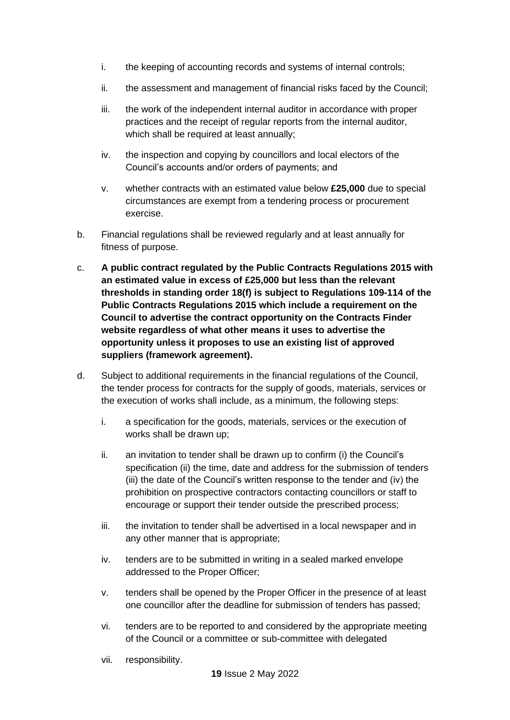- i. the keeping of accounting records and systems of internal controls;
- ii. the assessment and management of financial risks faced by the Council;
- iii. the work of the independent internal auditor in accordance with proper practices and the receipt of regular reports from the internal auditor, which shall be required at least annually;
- iv. the inspection and copying by councillors and local electors of the Council's accounts and/or orders of payments; and
- v. whether contracts with an estimated value below **£25,000** due to special circumstances are exempt from a tendering process or procurement exercise.
- b. Financial regulations shall be reviewed regularly and at least annually for fitness of purpose.
- c. **A public contract regulated by the Public Contracts Regulations 2015 with an estimated value in excess of £25,000 but less than the relevant thresholds in standing order 18(f) is subject to Regulations 109-114 of the Public Contracts Regulations 2015 which include a requirement on the Council to advertise the contract opportunity on the Contracts Finder website regardless of what other means it uses to advertise the opportunity unless it proposes to use an existing list of approved suppliers (framework agreement).**
- d. Subject to additional requirements in the financial regulations of the Council, the tender process for contracts for the supply of goods, materials, services or the execution of works shall include, as a minimum, the following steps:
	- i. a specification for the goods, materials, services or the execution of works shall be drawn up;
	- ii. an invitation to tender shall be drawn up to confirm (i) the Council's specification (ii) the time, date and address for the submission of tenders (iii) the date of the Council's written response to the tender and (iv) the prohibition on prospective contractors contacting councillors or staff to encourage or support their tender outside the prescribed process;
	- iii. the invitation to tender shall be advertised in a local newspaper and in any other manner that is appropriate;
	- iv. tenders are to be submitted in writing in a sealed marked envelope addressed to the Proper Officer;
	- v. tenders shall be opened by the Proper Officer in the presence of at least one councillor after the deadline for submission of tenders has passed;
	- vi. tenders are to be reported to and considered by the appropriate meeting of the Council or a committee or sub-committee with delegated
	- vii. responsibility.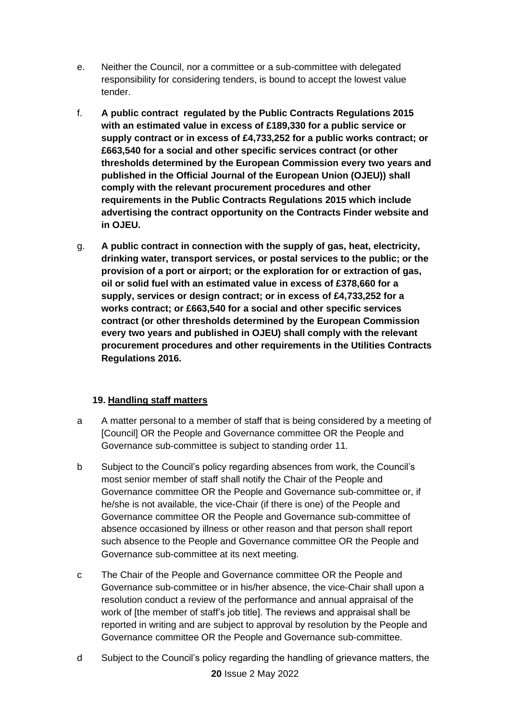- e. Neither the Council, nor a committee or a sub-committee with delegated responsibility for considering tenders, is bound to accept the lowest value tender.
- f. **A public contract regulated by the Public Contracts Regulations 2015 with an estimated value in excess of £189,330 for a public service or supply contract or in excess of £4,733,252 for a public works contract; or £663,540 for a social and other specific services contract (or other thresholds determined by the European Commission every two years and published in the Official Journal of the European Union (OJEU)) shall comply with the relevant procurement procedures and other requirements in the Public Contracts Regulations 2015 which include advertising the contract opportunity on the Contracts Finder website and in OJEU.**
- g. **A public contract in connection with the supply of gas, heat, electricity, drinking water, transport services, or postal services to the public; or the provision of a port or airport; or the exploration for or extraction of gas, oil or solid fuel with an estimated value in excess of £378,660 for a supply, services or design contract; or in excess of £4,733,252 for a works contract; or £663,540 for a social and other specific services contract (or other thresholds determined by the European Commission every two years and published in OJEU) shall comply with the relevant procurement procedures and other requirements in the Utilities Contracts Regulations 2016.**

## <span id="page-19-0"></span>**19. Handling staff matters**

- a A matter personal to a member of staff that is being considered by a meeting of [Council] OR the People and Governance committee OR the People and Governance sub-committee is subject to standing order 11.
- b Subject to the Council's policy regarding absences from work, the Council's most senior member of staff shall notify the Chair of the People and Governance committee OR the People and Governance sub-committee or, if he/she is not available, the vice-Chair (if there is one) of the People and Governance committee OR the People and Governance sub-committee of absence occasioned by illness or other reason and that person shall report such absence to the People and Governance committee OR the People and Governance sub-committee at its next meeting.
- c The Chair of the People and Governance committee OR the People and Governance sub-committee or in his/her absence, the vice-Chair shall upon a resolution conduct a review of the performance and annual appraisal of the work of [the member of staff's job title]. The reviews and appraisal shall be reported in writing and are subject to approval by resolution by the People and Governance committee OR the People and Governance sub-committee.
- **20** Issue 2 May 2022 d Subject to the Council's policy regarding the handling of grievance matters, the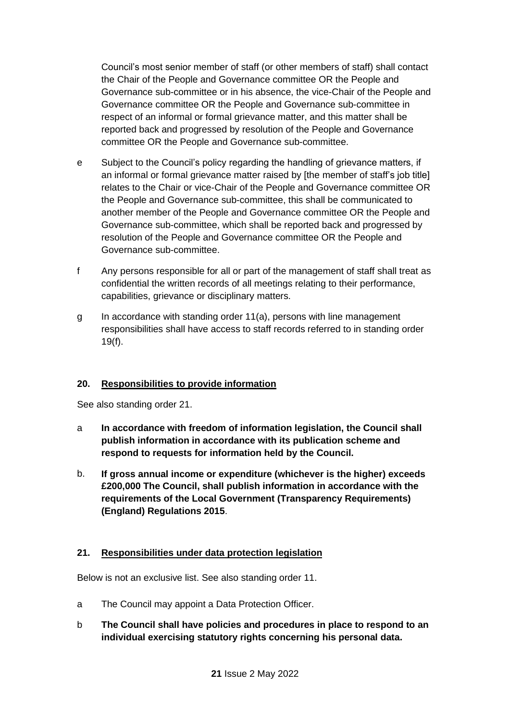Council's most senior member of staff (or other members of staff) shall contact the Chair of the People and Governance committee OR the People and Governance sub-committee or in his absence, the vice-Chair of the People and Governance committee OR the People and Governance sub-committee in respect of an informal or formal grievance matter, and this matter shall be reported back and progressed by resolution of the People and Governance committee OR the People and Governance sub-committee.

- e Subject to the Council's policy regarding the handling of grievance matters, if an informal or formal grievance matter raised by [the member of staff's job title] relates to the Chair or vice-Chair of the People and Governance committee OR the People and Governance sub-committee, this shall be communicated to another member of the People and Governance committee OR the People and Governance sub-committee, which shall be reported back and progressed by resolution of the People and Governance committee OR the People and Governance sub-committee.
- f Any persons responsible for all or part of the management of staff shall treat as confidential the written records of all meetings relating to their performance, capabilities, grievance or disciplinary matters.
- g In accordance with standing order 11(a), persons with line management responsibilities shall have access to staff records referred to in standing order 19(f).

## <span id="page-20-0"></span>**20. Responsibilities to provide information**

See also standing order 21.

- a **In accordance with freedom of information legislation, the Council shall publish information in accordance with its publication scheme and respond to requests for information held by the Council.**
- b. **If gross annual income or expenditure (whichever is the higher) exceeds £200,000 The Council, shall publish information in accordance with the requirements of the Local Government (Transparency Requirements) (England) Regulations 2015**.

## <span id="page-20-1"></span>**21. Responsibilities under data protection legislation**

Below is not an exclusive list. See also standing order 11.

- a The Council may appoint a Data Protection Officer.
- b **The Council shall have policies and procedures in place to respond to an individual exercising statutory rights concerning his personal data.**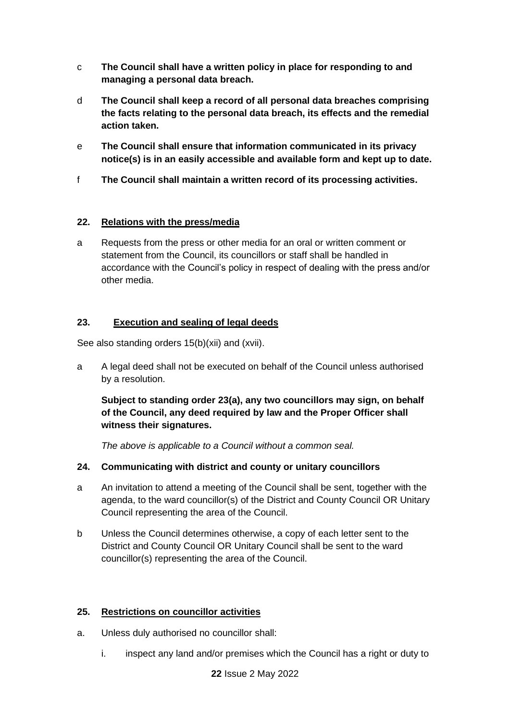- c **The Council shall have a written policy in place for responding to and managing a personal data breach.**
- d **The Council shall keep a record of all personal data breaches comprising the facts relating to the personal data breach, its effects and the remedial action taken.**
- e **The Council shall ensure that information communicated in its privacy notice(s) is in an easily accessible and available form and kept up to date.**
- f **The Council shall maintain a written record of its processing activities.**

## <span id="page-21-0"></span>**22. Relations with the press/media**

a Requests from the press or other media for an oral or written comment or statement from the Council, its councillors or staff shall be handled in accordance with the Council's policy in respect of dealing with the press and/or other media.

## <span id="page-21-1"></span>**23. Execution and sealing of legal deeds**

See also standing orders 15(b)(xii) and (xvii).

a A legal deed shall not be executed on behalf of the Council unless authorised by a resolution.

**Subject to standing order 23(a), any two councillors may sign, on behalf of the Council, any deed required by law and the Proper Officer shall witness their signatures.** 

*The above is applicable to a Council without a common seal.*

# <span id="page-21-2"></span>**24. Communicating with district and county or unitary councillors**

- a An invitation to attend a meeting of the Council shall be sent, together with the agenda, to the ward councillor(s) of the District and County Council OR Unitary Council representing the area of the Council.
- b Unless the Council determines otherwise, a copy of each letter sent to the District and County Council OR Unitary Council shall be sent to the ward councillor(s) representing the area of the Council.

# <span id="page-21-3"></span>**25. Restrictions on councillor activities**

- a. Unless duly authorised no councillor shall:
	- i. inspect any land and/or premises which the Council has a right or duty to